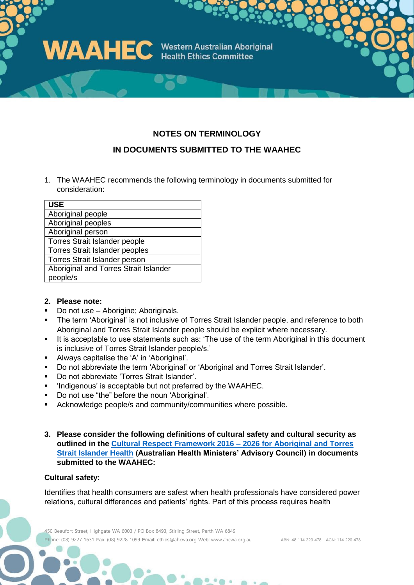

## **NOTES ON TERMINOLOGY**

## **IN DOCUMENTS SUBMITTED TO THE WAAHEC**

1. The WAAHEC recommends the following terminology in documents submitted for consideration:

| <b>USE</b>                            |
|---------------------------------------|
| Aboriginal people                     |
| Aboriginal peoples                    |
| Aboriginal person                     |
| Torres Strait Islander people         |
| <b>Torres Strait Islander peoples</b> |
| <b>Torres Strait Islander person</b>  |
| Aboriginal and Torres Strait Islander |
| people/s                              |

### **2. Please note:**

- Do not use Aborigine; Aboriginals.
- The term 'Aboriginal' is not inclusive of Torres Strait Islander people, and reference to both Aboriginal and Torres Strait Islander people should be explicit where necessary.
- It is acceptable to use statements such as: 'The use of the term Aboriginal in this document is inclusive of Torres Strait Islander people/s.'
- Always capitalise the 'A' in 'Aboriginal'.
- Do not abbreviate the term 'Aboriginal' or 'Aboriginal and Torres Strait Islander'.
- Do not abbreviate 'Torres Strait Islander'.
- 'Indigenous' is acceptable but not preferred by the WAAHEC.
- Do not use "the" before the noun 'Aboriginal'.
- Acknowledge people/s and community/communities where possible.
- **3. Please consider the following definitions of cultural safety and cultural security as outlined in the [Cultural Respect Framework 2016 –](https://www1.health.gov.au/internet/main/publishing.nsf/Content/indigenous-crf) 2026 for Aboriginal and Torres [Strait Islander Health](https://www1.health.gov.au/internet/main/publishing.nsf/Content/indigenous-crf) (Australian Health Ministers' Advisory Council) in documents submitted to the WAAHEC:**

#### **Cultural safety:**

Identifies that health consumers are safest when health professionals have considered power relations, cultural differences and patients' rights. Part of this process requires health

450 Beaufort Street, Highgate WA 6003 / PO Box 8493, Stirling Street, Perth WA 6849 Phone: (08) 9227 1631 Fax: (08) 9228 1099 Email: ethics@ahcwa.org Web: [www.ahcwa.org.au](http://www.ahcwa.org.au/) ABN: 48 114 220 478 ACN: 114 220 478